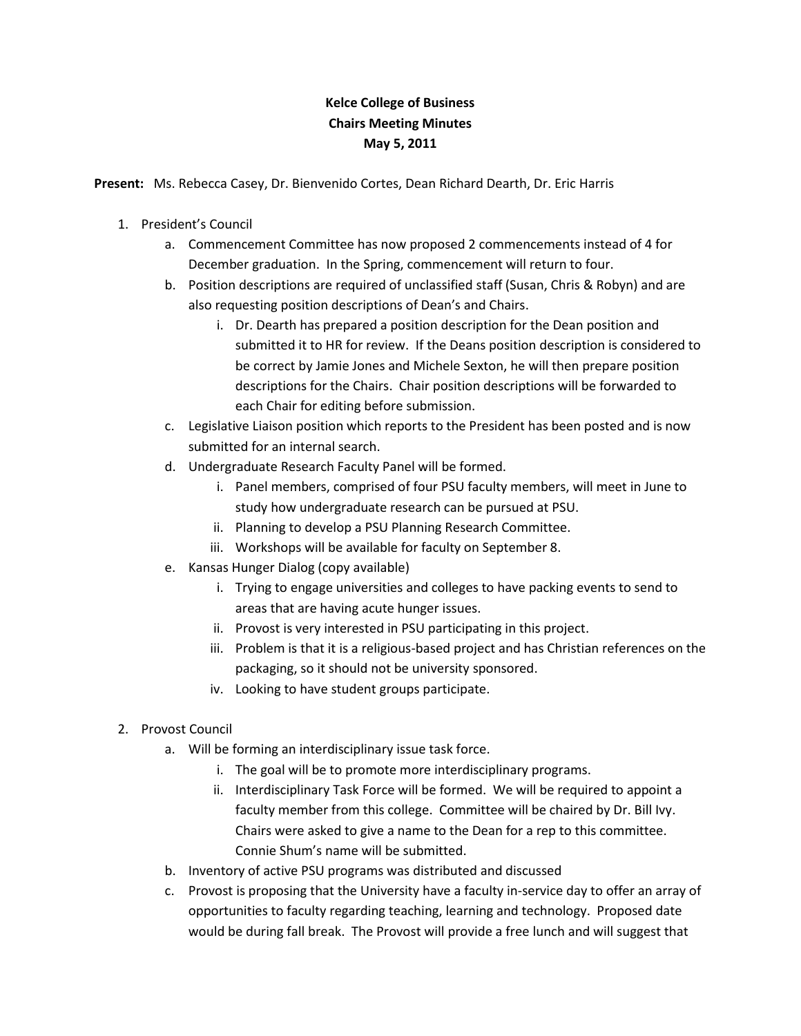## **Kelce College of Business Chairs Meeting Minutes May 5, 2011**

**Present:** Ms. Rebecca Casey, Dr. Bienvenido Cortes, Dean Richard Dearth, Dr. Eric Harris

- 1. President's Council
	- a. Commencement Committee has now proposed 2 commencements instead of 4 for December graduation. In the Spring, commencement will return to four.
	- b. Position descriptions are required of unclassified staff (Susan, Chris & Robyn) and are also requesting position descriptions of Dean's and Chairs.
		- i. Dr. Dearth has prepared a position description for the Dean position and submitted it to HR for review. If the Deans position description is considered to be correct by Jamie Jones and Michele Sexton, he will then prepare position descriptions for the Chairs. Chair position descriptions will be forwarded to each Chair for editing before submission.
	- c. Legislative Liaison position which reports to the President has been posted and is now submitted for an internal search.
	- d. Undergraduate Research Faculty Panel will be formed.
		- i. Panel members, comprised of four PSU faculty members, will meet in June to study how undergraduate research can be pursued at PSU.
		- ii. Planning to develop a PSU Planning Research Committee.
		- iii. Workshops will be available for faculty on September 8.
	- e. Kansas Hunger Dialog (copy available)
		- i. Trying to engage universities and colleges to have packing events to send to areas that are having acute hunger issues.
		- ii. Provost is very interested in PSU participating in this project.
		- iii. Problem is that it is a religious-based project and has Christian references on the packaging, so it should not be university sponsored.
		- iv. Looking to have student groups participate.
- 2. Provost Council
	- a. Will be forming an interdisciplinary issue task force.
		- i. The goal will be to promote more interdisciplinary programs.
		- ii. Interdisciplinary Task Force will be formed. We will be required to appoint a faculty member from this college. Committee will be chaired by Dr. Bill Ivy. Chairs were asked to give a name to the Dean for a rep to this committee. Connie Shum's name will be submitted.
	- b. Inventory of active PSU programs was distributed and discussed
	- c. Provost is proposing that the University have a faculty in-service day to offer an array of opportunities to faculty regarding teaching, learning and technology. Proposed date would be during fall break. The Provost will provide a free lunch and will suggest that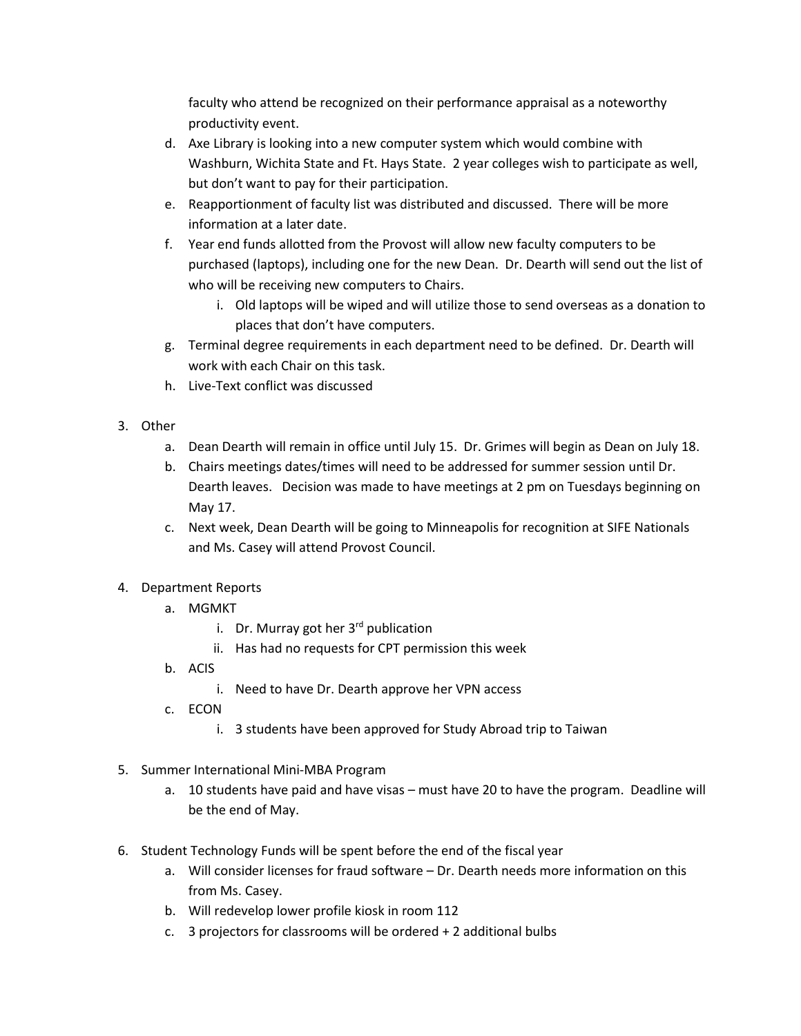faculty who attend be recognized on their performance appraisal as a noteworthy productivity event.

- d. Axe Library is looking into a new computer system which would combine with Washburn, Wichita State and Ft. Hays State. 2 year colleges wish to participate as well, but don't want to pay for their participation.
- e. Reapportionment of faculty list was distributed and discussed. There will be more information at a later date.
- f. Year end funds allotted from the Provost will allow new faculty computers to be purchased (laptops), including one for the new Dean. Dr. Dearth will send out the list of who will be receiving new computers to Chairs.
	- i. Old laptops will be wiped and will utilize those to send overseas as a donation to places that don't have computers.
- g. Terminal degree requirements in each department need to be defined. Dr. Dearth will work with each Chair on this task.
- h. Live-Text conflict was discussed
- 3. Other
	- a. Dean Dearth will remain in office until July 15. Dr. Grimes will begin as Dean on July 18.
	- b. Chairs meetings dates/times will need to be addressed for summer session until Dr. Dearth leaves. Decision was made to have meetings at 2 pm on Tuesdays beginning on May 17.
	- c. Next week, Dean Dearth will be going to Minneapolis for recognition at SIFE Nationals and Ms. Casey will attend Provost Council.
- 4. Department Reports
	- a. MGMKT
		- i. Dr. Murray got her  $3<sup>rd</sup>$  publication
		- ii. Has had no requests for CPT permission this week
	- b. ACIS
		- i. Need to have Dr. Dearth approve her VPN access
	- c. ECON
		- i. 3 students have been approved for Study Abroad trip to Taiwan
- 5. Summer International Mini-MBA Program
	- a. 10 students have paid and have visas must have 20 to have the program. Deadline will be the end of May.
- 6. Student Technology Funds will be spent before the end of the fiscal year
	- a. Will consider licenses for fraud software Dr. Dearth needs more information on this from Ms. Casey.
	- b. Will redevelop lower profile kiosk in room 112
	- c. 3 projectors for classrooms will be ordered + 2 additional bulbs